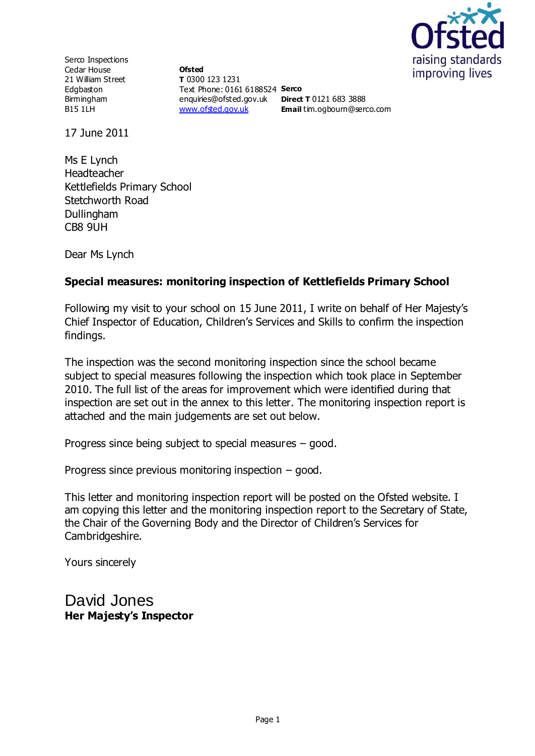

Serco Inspections Cedar House 21 William Street Edgbaston Birmingham B15 1LH

**Ofsted T** 0300 123 1231 Text Phone: 0161 6188524 **Serco** enquiries@ofsted.gov.uk **Direct T** 0121 683 3888 [www.ofsted.gov.uk](http://www.ofsted.gov.uk/)

**Email** tim.ogbourn@serco.com

17 June 2011

Ms E Lynch Headteacher Kettlefields Primary School Stetchworth Road Dullingham CB8 9UH

Dear Ms Lynch

### **Special measures: monitoring inspection of Kettlefields Primary School**

Following my visit to your school on 15 June 2011, I write on behalf of Her Majesty's Chief Inspector of Education, Children's Services and Skills to confirm the inspection findings.

The inspection was the second monitoring inspection since the school became subject to special measures following the inspection which took place in September 2010. The full list of the areas for improvement which were identified during that inspection are set out in the annex to this letter. The monitoring inspection report is attached and the main judgements are set out below.

Progress since being subject to special measures – good.

Progress since previous monitoring inspection – good.

This letter and monitoring inspection report will be posted on the Ofsted website. I am copying this letter and the monitoring inspection report to the Secretary of State, the Chair of the Governing Body and the Director of Children's Services for Cambridgeshire.

Yours sincerely

David Jones **Her Majesty's Inspector**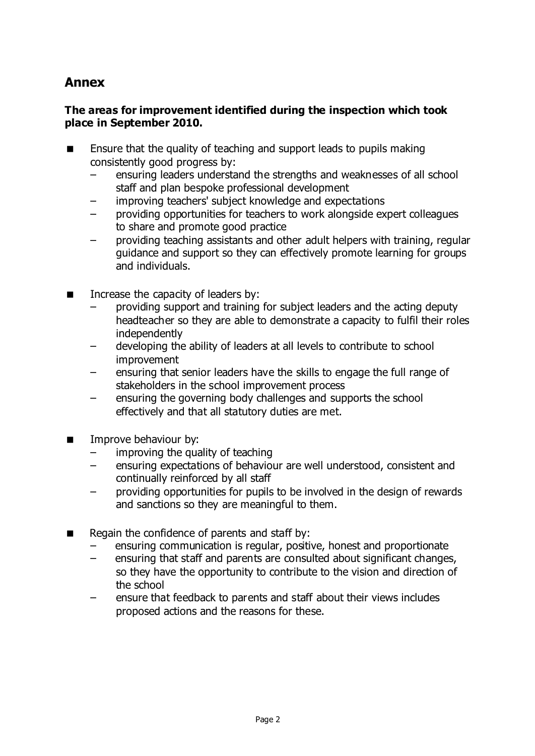# **Annex**

#### **The areas for improvement identified during the inspection which took place in September 2010.**

- **E** Ensure that the quality of teaching and support leads to pupils making consistently good progress by:
	- ensuring leaders understand the strengths and weaknesses of all school staff and plan bespoke professional development
	- improving teachers' subject knowledge and expectations
	- providing opportunities for teachers to work alongside expert colleagues to share and promote good practice
	- providing teaching assistants and other adult helpers with training, regular guidance and support so they can effectively promote learning for groups and individuals.
- $\blacksquare$  Increase the capacity of leaders by:
	- providing support and training for subject leaders and the acting deputy headteacher so they are able to demonstrate a capacity to fulfil their roles independently
	- developing the ability of leaders at all levels to contribute to school improvement
	- ensuring that senior leaders have the skills to engage the full range of stakeholders in the school improvement process
	- ensuring the governing body challenges and supports the school effectively and that all statutory duties are met.
- **IMPROVE behaviour by:** 
	- improving the quality of teaching
	- ensuring expectations of behaviour are well understood, consistent and continually reinforced by all staff
	- providing opportunities for pupils to be involved in the design of rewards and sanctions so they are meaningful to them.
- $\blacksquare$  Regain the confidence of parents and staff by:
	- ensuring communication is regular, positive, honest and proportionate
	- ensuring that staff and parents are consulted about significant changes, so they have the opportunity to contribute to the vision and direction of the school
	- ensure that feedback to parents and staff about their views includes proposed actions and the reasons for these.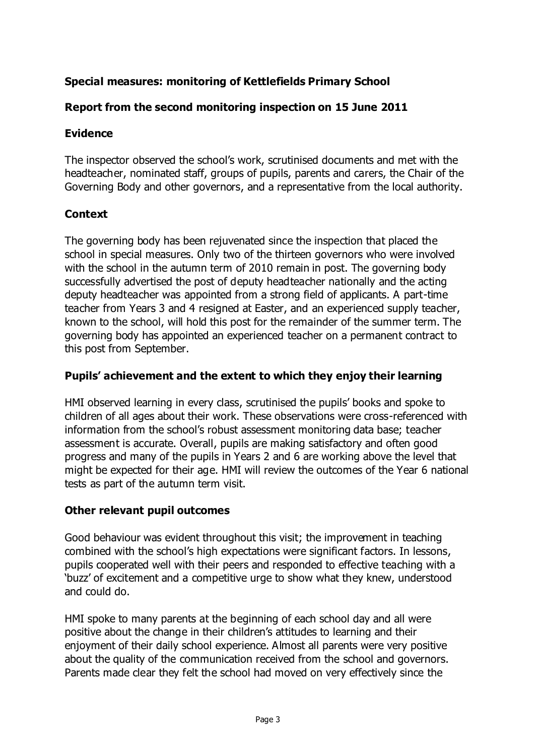## **Special measures: monitoring of Kettlefields Primary School**

## **Report from the second monitoring inspection on 15 June 2011**

### **Evidence**

The inspector observed the school's work, scrutinised documents and met with the headteacher, nominated staff, groups of pupils, parents and carers, the Chair of the Governing Body and other governors, and a representative from the local authority.

## **Context**

The governing body has been rejuvenated since the inspection that placed the school in special measures. Only two of the thirteen governors who were involved with the school in the autumn term of 2010 remain in post. The governing body successfully advertised the post of deputy headteacher nationally and the acting deputy headteacher was appointed from a strong field of applicants. A part-time teacher from Years 3 and 4 resigned at Easter, and an experienced supply teacher, known to the school, will hold this post for the remainder of the summer term. The governing body has appointed an experienced teacher on a permanent contract to this post from September.

#### **Pupils' achievement and the extent to which they enjoy their learning**

HMI observed learning in every class, scrutinised the pupils' books and spoke to children of all ages about their work. These observations were cross-referenced with information from the school's robust assessment monitoring data base; teacher assessment is accurate. Overall, pupils are making satisfactory and often good progress and many of the pupils in Years 2 and 6 are working above the level that might be expected for their age. HMI will review the outcomes of the Year 6 national tests as part of the autumn term visit.

### **Other relevant pupil outcomes**

Good behaviour was evident throughout this visit; the improvement in teaching combined with the school's high expectations were significant factors. In lessons, pupils cooperated well with their peers and responded to effective teaching with a 'buzz' of excitement and a competitive urge to show what they knew, understood and could do.

HMI spoke to many parents at the beginning of each school day and all were positive about the change in their children's attitudes to learning and their enjoyment of their daily school experience. Almost all parents were very positive about the quality of the communication received from the school and governors. Parents made clear they felt the school had moved on very effectively since the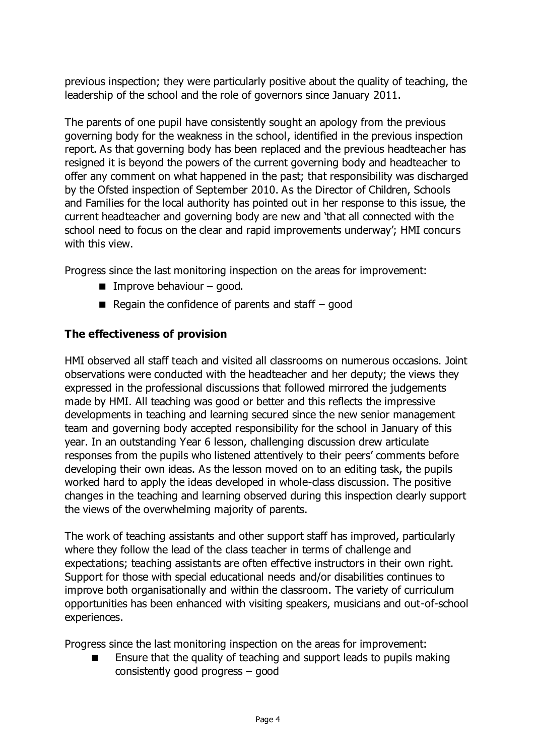previous inspection; they were particularly positive about the quality of teaching, the leadership of the school and the role of governors since January 2011.

The parents of one pupil have consistently sought an apology from the previous governing body for the weakness in the school, identified in the previous inspection report. As that governing body has been replaced and the previous headteacher has resigned it is beyond the powers of the current governing body and headteacher to offer any comment on what happened in the past; that responsibility was discharged by the Ofsted inspection of September 2010. As the Director of Children, Schools and Families for the local authority has pointed out in her response to this issue, the current headteacher and governing body are new and 'that all connected with the school need to focus on the clear and rapid improvements underway'; HMI concurs with this view.

Progress since the last monitoring inspection on the areas for improvement:

- **Improve behaviour good.**
- Regain the confidence of parents and staff  $-$  good

### **The effectiveness of provision**

HMI observed all staff teach and visited all classrooms on numerous occasions. Joint observations were conducted with the headteacher and her deputy; the views they expressed in the professional discussions that followed mirrored the judgements made by HMI. All teaching was good or better and this reflects the impressive developments in teaching and learning secured since the new senior management team and governing body accepted responsibility for the school in January of this year. In an outstanding Year 6 lesson, challenging discussion drew articulate responses from the pupils who listened attentively to their peers' comments before developing their own ideas. As the lesson moved on to an editing task, the pupils worked hard to apply the ideas developed in whole-class discussion. The positive changes in the teaching and learning observed during this inspection clearly support the views of the overwhelming majority of parents.

The work of teaching assistants and other support staff has improved, particularly where they follow the lead of the class teacher in terms of challenge and expectations; teaching assistants are often effective instructors in their own right. Support for those with special educational needs and/or disabilities continues to improve both organisationally and within the classroom. The variety of curriculum opportunities has been enhanced with visiting speakers, musicians and out-of-school experiences.

Progress since the last monitoring inspection on the areas for improvement:

 Ensure that the quality of teaching and support leads to pupils making consistently good progress – good